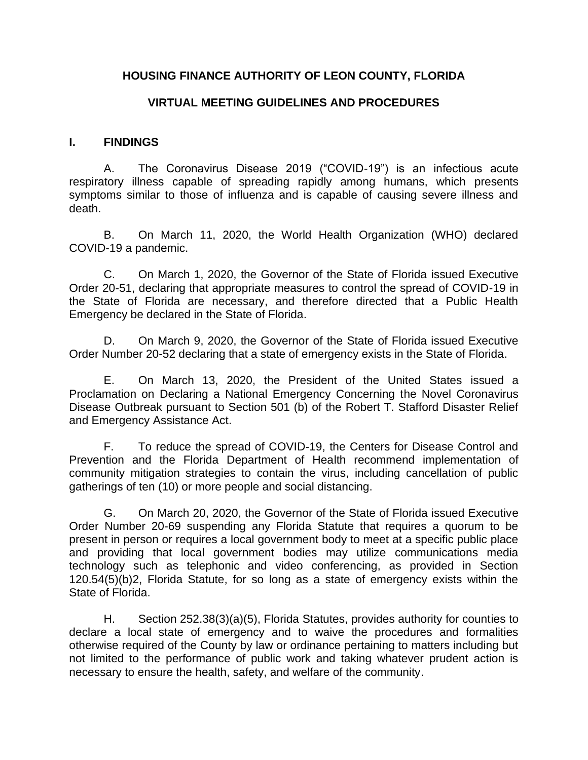## **HOUSING FINANCE AUTHORITY OF LEON COUNTY, FLORIDA**

#### **VIRTUAL MEETING GUIDELINES AND PROCEDURES**

#### **I. FINDINGS**

A. The Coronavirus Disease 2019 ("COVID-19") is an infectious acute respiratory illness capable of spreading rapidly among humans, which presents symptoms similar to those of influenza and is capable of causing severe illness and death.

B. On March 11, 2020, the World Health Organization (WHO) declared COVID-19 a pandemic.

C. On March 1, 2020, the Governor of the State of Florida issued Executive Order 20-51, declaring that appropriate measures to control the spread of COVID-19 in the State of Florida are necessary, and therefore directed that a Public Health Emergency be declared in the State of Florida.

D. On March 9, 2020, the Governor of the State of Florida issued Executive Order Number 20-52 declaring that a state of emergency exists in the State of Florida.

E. On March 13, 2020, the President of the United States issued a Proclamation on Declaring a National Emergency Concerning the Novel Coronavirus Disease Outbreak pursuant to Section 501 (b) of the Robert T. Stafford Disaster Relief and Emergency Assistance Act.

F. To reduce the spread of COVID-19, the Centers for Disease Control and Prevention and the Florida Department of Health recommend implementation of community mitigation strategies to contain the virus, including cancellation of public gatherings of ten (10) or more people and social distancing.

G. On March 20, 2020, the Governor of the State of Florida issued Executive Order Number 20-69 suspending any Florida Statute that requires a quorum to be present in person or requires a local government body to meet at a specific public place and providing that local government bodies may utilize communications media technology such as telephonic and video conferencing, as provided in Section 120.54(5)(b)2, Florida Statute, for so long as a state of emergency exists within the State of Florida.

H. Section 252.38(3)(a)(5), Florida Statutes, provides authority for counties to declare a local state of emergency and to waive the procedures and formalities otherwise required of the County by law or ordinance pertaining to matters including but not limited to the performance of public work and taking whatever prudent action is necessary to ensure the health, safety, and welfare of the community.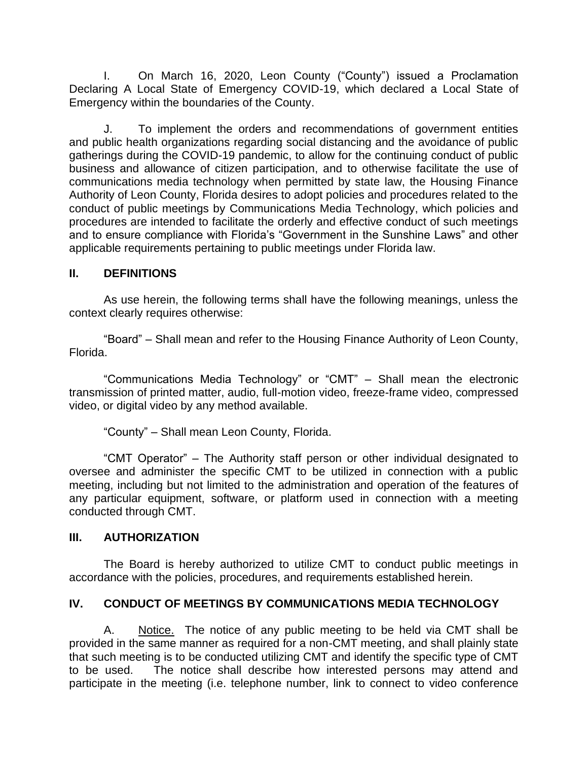I. On March 16, 2020, Leon County ("County") issued a Proclamation Declaring A Local State of Emergency COVID-19, which declared a Local State of Emergency within the boundaries of the County.

J. To implement the orders and recommendations of government entities and public health organizations regarding social distancing and the avoidance of public gatherings during the COVID-19 pandemic, to allow for the continuing conduct of public business and allowance of citizen participation, and to otherwise facilitate the use of communications media technology when permitted by state law, the Housing Finance Authority of Leon County, Florida desires to adopt policies and procedures related to the conduct of public meetings by Communications Media Technology, which policies and procedures are intended to facilitate the orderly and effective conduct of such meetings and to ensure compliance with Florida's "Government in the Sunshine Laws" and other applicable requirements pertaining to public meetings under Florida law.

## **II. DEFINITIONS**

As use herein, the following terms shall have the following meanings, unless the context clearly requires otherwise:

"Board" – Shall mean and refer to the Housing Finance Authority of Leon County, Florida.

"Communications Media Technology" or "CMT" – Shall mean the electronic transmission of printed matter, audio, full-motion video, freeze-frame video, compressed video, or digital video by any method available.

"County" – Shall mean Leon County, Florida.

"CMT Operator" – The Authority staff person or other individual designated to oversee and administer the specific CMT to be utilized in connection with a public meeting, including but not limited to the administration and operation of the features of any particular equipment, software, or platform used in connection with a meeting conducted through CMT.

#### **III. AUTHORIZATION**

The Board is hereby authorized to utilize CMT to conduct public meetings in accordance with the policies, procedures, and requirements established herein.

## **IV. CONDUCT OF MEETINGS BY COMMUNICATIONS MEDIA TECHNOLOGY**

A. Notice. The notice of any public meeting to be held via CMT shall be provided in the same manner as required for a non-CMT meeting, and shall plainly state that such meeting is to be conducted utilizing CMT and identify the specific type of CMT to be used. The notice shall describe how interested persons may attend and participate in the meeting (i.e. telephone number, link to connect to video conference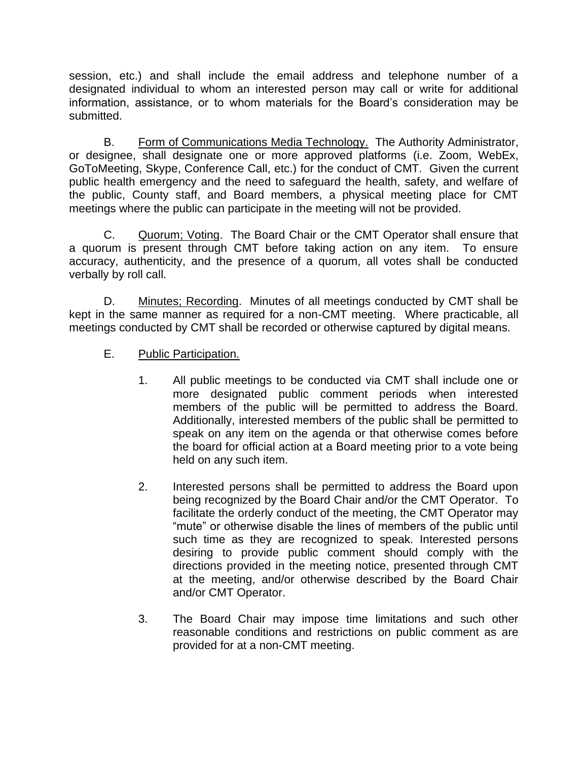session, etc.) and shall include the email address and telephone number of a designated individual to whom an interested person may call or write for additional information, assistance, or to whom materials for the Board's consideration may be submitted.

B. Form of Communications Media Technology. The Authority Administrator, or designee, shall designate one or more approved platforms (i.e. Zoom, WebEx, GoToMeeting, Skype, Conference Call, etc.) for the conduct of CMT. Given the current public health emergency and the need to safeguard the health, safety, and welfare of the public, County staff, and Board members, a physical meeting place for CMT meetings where the public can participate in the meeting will not be provided.

C. Quorum; Voting. The Board Chair or the CMT Operator shall ensure that a quorum is present through CMT before taking action on any item. To ensure accuracy, authenticity, and the presence of a quorum, all votes shall be conducted verbally by roll call.

D. Minutes; Recording. Minutes of all meetings conducted by CMT shall be kept in the same manner as required for a non-CMT meeting. Where practicable, all meetings conducted by CMT shall be recorded or otherwise captured by digital means.

- E. Public Participation.
	- 1. All public meetings to be conducted via CMT shall include one or more designated public comment periods when interested members of the public will be permitted to address the Board. Additionally, interested members of the public shall be permitted to speak on any item on the agenda or that otherwise comes before the board for official action at a Board meeting prior to a vote being held on any such item.
	- 2. Interested persons shall be permitted to address the Board upon being recognized by the Board Chair and/or the CMT Operator. To facilitate the orderly conduct of the meeting, the CMT Operator may "mute" or otherwise disable the lines of members of the public until such time as they are recognized to speak. Interested persons desiring to provide public comment should comply with the directions provided in the meeting notice, presented through CMT at the meeting, and/or otherwise described by the Board Chair and/or CMT Operator.
	- 3. The Board Chair may impose time limitations and such other reasonable conditions and restrictions on public comment as are provided for at a non-CMT meeting.